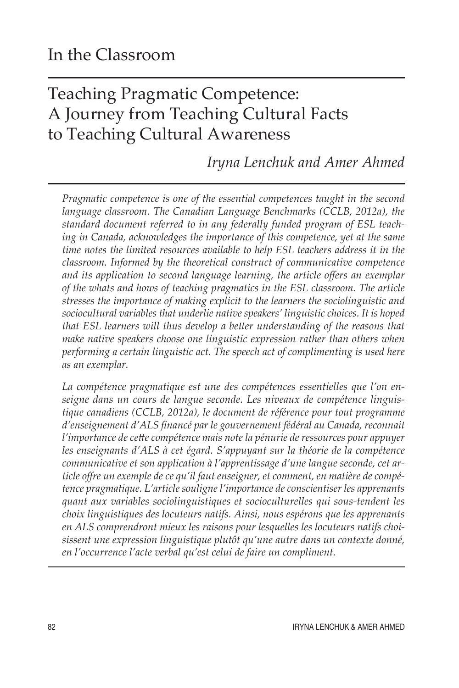# Teaching Pragmatic Competence: A Journey from Teaching Cultural Facts to Teaching Cultural Awareness

# *Iryna Lenchuk and Amer Ahmed*

*Pragmatic competence is one of the essential competences taught in the second language classroom. The Canadian Language Benchmarks (CCLB, 2012a), the standard document referred to in any federally funded program of ESL teaching in Canada, acknowledges the importance of this competence, yet at the same time notes the limited resources available to help ESL teachers address it in the classroom. Informed by the theoretical construct of communicative competence and its application to second language learning, the article offers an exemplar of the whats and hows of teaching pragmatics in the ESL classroom. The article stresses the importance of making explicit to the learners the sociolinguistic and sociocultural variables that underlie native speakers' linguistic choices. It is hoped that ESL learners will thus develop a better understanding of the reasons that make native speakers choose one linguistic expression rather than others when performing a certain linguistic act. The speech act of complimenting is used here as an exemplar.* 

*La compétence pragmatique est une des compétences essentielles que l'on enseigne dans un cours de langue seconde. Les niveaux de compétence linguistique canadiens (CCLB, 2012a), le document de référence pour tout programme d'enseignement d'ALS financé par le gouvernement fédéral au Canada, reconnait l'importance de cette compétence mais note la pénurie de ressources pour appuyer les enseignants d'ALS à cet égard. S'appuyant sur la théorie de la compétence communicative et son application à l'apprentissage d'une langue seconde, cet article offre un exemple de ce qu'il faut enseigner, et comment, en matière de compétence pragmatique. L'article souligne l'importance de conscientiser les apprenants quant aux variables sociolinguistiques et socioculturelles qui sous-tendent les choix linguistiques des locuteurs natifs. Ainsi, nous espérons que les apprenants en ALS comprendront mieux les raisons pour lesquelles les locuteurs natifs choisissent une expression linguistique plutôt qu'une autre dans un contexte donné, en l'occurrence l'acte verbal qu'est celui de faire un compliment.*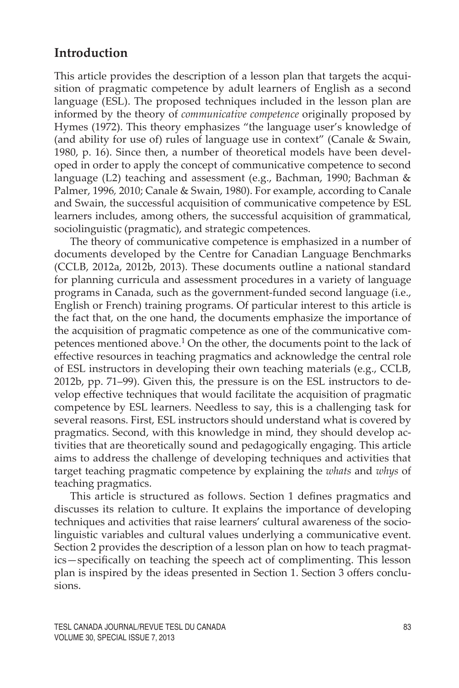#### **Introduction**

This article provides the description of a lesson plan that targets the acquisition of pragmatic competence by adult learners of English as a second language (ESL). The proposed techniques included in the lesson plan are informed by the theory of *communicative competence* originally proposed by Hymes (1972). This theory emphasizes "the language user's knowledge of (and ability for use of) rules of language use in context" (Canale & Swain, 1980, p. 16). Since then, a number of theoretical models have been developed in order to apply the concept of communicative competence to second language (L2) teaching and assessment (e.g., Bachman, 1990; Bachman & Palmer, 1996*,* 2010; Canale & Swain, 1980). For example, according to Canale and Swain, the successful acquisition of communicative competence by ESL learners includes, among others, the successful acquisition of grammatical, sociolinguistic (pragmatic), and strategic competences.

The theory of communicative competence is emphasized in a number of documents developed by the Centre for Canadian Language Benchmarks (CCLB, 2012a, 2012b, 2013). These documents outline a national standard for planning curricula and assessment procedures in a variety of language programs in Canada, such as the government-funded second language (i.e., English or French) training programs. Of particular interest to this article is the fact that, on the one hand, the documents emphasize the importance of the acquisition of pragmatic competence as one of the communicative competences mentioned above.1 On the other, the documents point to the lack of effective resources in teaching pragmatics and acknowledge the central role of ESL instructors in developing their own teaching materials (e.g., CCLB, 2012b, pp. 71–99). Given this, the pressure is on the ESL instructors to develop effective techniques that would facilitate the acquisition of pragmatic competence by ESL learners. Needless to say, this is a challenging task for several reasons. First, ESL instructors should understand what is covered by pragmatics. Second, with this knowledge in mind, they should develop activities that are theoretically sound and pedagogically engaging. This article aims to address the challenge of developing techniques and activities that target teaching pragmatic competence by explaining the *whats* and *whys* of teaching pragmatics.

This article is structured as follows. Section 1 defines pragmatics and discusses its relation to culture. It explains the importance of developing techniques and activities that raise learners' cultural awareness of the sociolinguistic variables and cultural values underlying a communicative event. Section 2 provides the description of a lesson plan on how to teach pragmatics—specifically on teaching the speech act of complimenting. This lesson plan is inspired by the ideas presented in Section 1. Section 3 offers conclusions.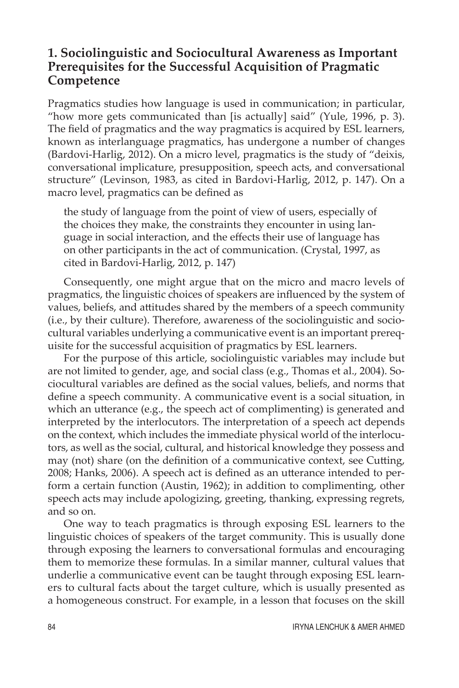#### **1. Sociolinguistic and Sociocultural Awareness as Important Prerequisites for the Successful Acquisition of Pragmatic Competence**

Pragmatics studies how language is used in communication; in particular, "how more gets communicated than [is actually] said" (Yule, 1996, p. 3). The field of pragmatics and the way pragmatics is acquired by ESL learners, known as interlanguage pragmatics, has undergone a number of changes (Bardovi-Harlig, 2012). On a micro level, pragmatics is the study of "deixis, conversational implicature, presupposition, speech acts, and conversational structure" (Levinson, 1983, as cited in Bardovi-Harlig, 2012, p. 147). On a macro level, pragmatics can be defined as

the study of language from the point of view of users, especially of the choices they make, the constraints they encounter in using language in social interaction, and the effects their use of language has on other participants in the act of communication. (Crystal, 1997, as cited in Bardovi-Harlig, 2012, p. 147)

Consequently, one might argue that on the micro and macro levels of pragmatics, the linguistic choices of speakers are influenced by the system of values, beliefs, and attitudes shared by the members of a speech community (i.e., by their culture). Therefore, awareness of the sociolinguistic and sociocultural variables underlying a communicative event is an important prerequisite for the successful acquisition of pragmatics by ESL learners.

For the purpose of this article, sociolinguistic variables may include but are not limited to gender, age, and social class (e.g., Thomas et al., 2004). Sociocultural variables are defined as the social values, beliefs, and norms that define a speech community. A communicative event is a social situation, in which an utterance (e.g., the speech act of complimenting) is generated and interpreted by the interlocutors. The interpretation of a speech act depends on the context, which includes the immediate physical world of the interlocutors, as well as the social, cultural, and historical knowledge they possess and may (not) share (on the definition of a communicative context, see Cutting, 2008; Hanks, 2006). A speech act is defined as an utterance intended to perform a certain function (Austin, 1962); in addition to complimenting, other speech acts may include apologizing, greeting, thanking, expressing regrets, and so on.

One way to teach pragmatics is through exposing ESL learners to the linguistic choices of speakers of the target community. This is usually done through exposing the learners to conversational formulas and encouraging them to memorize these formulas. In a similar manner, cultural values that underlie a communicative event can be taught through exposing ESL learners to cultural facts about the target culture, which is usually presented as a homogeneous construct. For example, in a lesson that focuses on the skill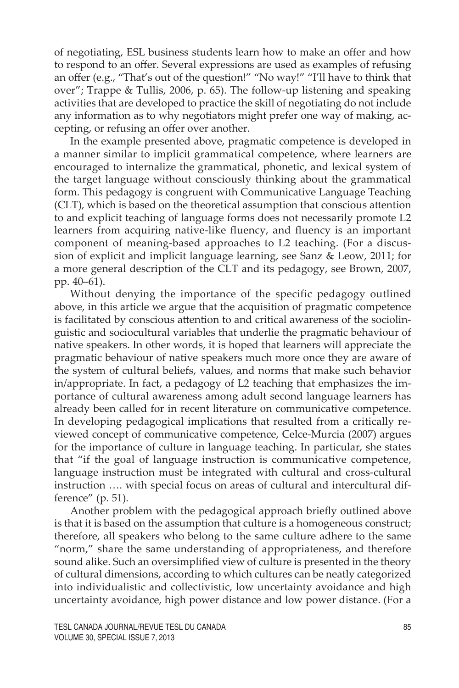of negotiating, ESL business students learn how to make an offer and how to respond to an offer. Several expressions are used as examples of refusing an offer (e.g., "That's out of the question!" "No way!" "I'll have to think that over"; Trappe & Tullis, 2006, p. 65). The follow-up listening and speaking activities that are developed to practice the skill of negotiating do not include any information as to why negotiators might prefer one way of making, accepting, or refusing an offer over another.

In the example presented above, pragmatic competence is developed in a manner similar to implicit grammatical competence, where learners are encouraged to internalize the grammatical, phonetic, and lexical system of the target language without consciously thinking about the grammatical form. This pedagogy is congruent with Communicative Language Teaching (CLT), which is based on the theoretical assumption that conscious attention to and explicit teaching of language forms does not necessarily promote L2 learners from acquiring native-like fluency, and fluency is an important component of meaning-based approaches to L2 teaching. (For a discussion of explicit and implicit language learning, see Sanz & Leow, 2011; for a more general description of the CLT and its pedagogy, see Brown, 2007, pp. 40–61).

Without denying the importance of the specific pedagogy outlined above, in this article we argue that the acquisition of pragmatic competence is facilitated by conscious attention to and critical awareness of the sociolinguistic and sociocultural variables that underlie the pragmatic behaviour of native speakers. In other words, it is hoped that learners will appreciate the pragmatic behaviour of native speakers much more once they are aware of the system of cultural beliefs, values, and norms that make such behavior in/appropriate. In fact, a pedagogy of L2 teaching that emphasizes the importance of cultural awareness among adult second language learners has already been called for in recent literature on communicative competence. In developing pedagogical implications that resulted from a critically reviewed concept of communicative competence, Celce-Murcia (2007) argues for the importance of culture in language teaching. In particular, she states that "if the goal of language instruction is communicative competence, language instruction must be integrated with cultural and cross-cultural instruction …. with special focus on areas of cultural and intercultural difference" (p. 51).

Another problem with the pedagogical approach briefly outlined above is that it is based on the assumption that culture is a homogeneous construct; therefore, all speakers who belong to the same culture adhere to the same "norm," share the same understanding of appropriateness, and therefore sound alike. Such an oversimplified view of culture is presented in the theory of cultural dimensions, according to which cultures can be neatly categorized into individualistic and collectivistic, low uncertainty avoidance and high uncertainty avoidance, high power distance and low power distance. (For a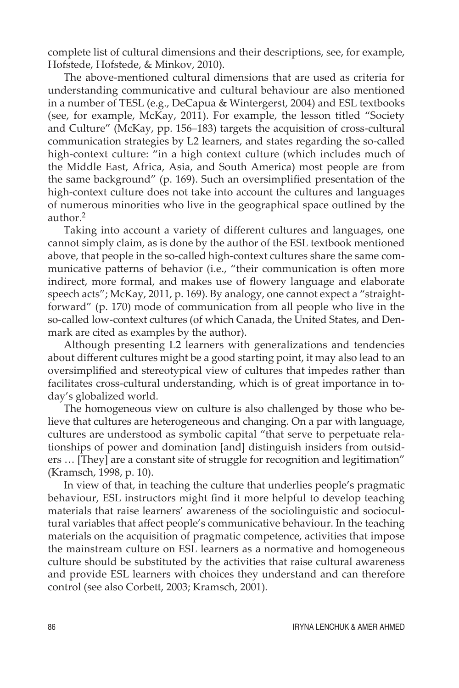complete list of cultural dimensions and their descriptions, see, for example, Hofstede, Hofstede, & Minkov, 2010).

The above-mentioned cultural dimensions that are used as criteria for understanding communicative and cultural behaviour are also mentioned in a number of TESL (e.g., DeCapua & Wintergerst, 2004) and ESL textbooks (see, for example, McKay, 2011). For example, the lesson titled "Society and Culture" (McKay, pp. 156–183) targets the acquisition of cross-cultural communication strategies by L2 learners, and states regarding the so-called high-context culture: "in a high context culture (which includes much of the Middle East, Africa, Asia, and South America) most people are from the same background" (p. 169). Such an oversimplified presentation of the high-context culture does not take into account the cultures and languages of numerous minorities who live in the geographical space outlined by the author.2

Taking into account a variety of different cultures and languages, one cannot simply claim, as is done by the author of the ESL textbook mentioned above, that people in the so-called high-context cultures share the same communicative patterns of behavior (i.e., "their communication is often more indirect, more formal, and makes use of flowery language and elaborate speech acts"; McKay, 2011, p. 169). By analogy, one cannot expect a "straightforward" (p. 170) mode of communication from all people who live in the so-called low-context cultures (of which Canada, the United States, and Denmark are cited as examples by the author).

Although presenting L2 learners with generalizations and tendencies about different cultures might be a good starting point, it may also lead to an oversimplified and stereotypical view of cultures that impedes rather than facilitates cross-cultural understanding, which is of great importance in today's globalized world.

The homogeneous view on culture is also challenged by those who believe that cultures are heterogeneous and changing. On a par with language, cultures are understood as symbolic capital "that serve to perpetuate relationships of power and domination [and] distinguish insiders from outsiders … [They] are a constant site of struggle for recognition and legitimation" (Kramsch, 1998, p. 10).

In view of that, in teaching the culture that underlies people's pragmatic behaviour, ESL instructors might find it more helpful to develop teaching materials that raise learners' awareness of the sociolinguistic and sociocultural variables that affect people's communicative behaviour. In the teaching materials on the acquisition of pragmatic competence, activities that impose the mainstream culture on ESL learners as a normative and homogeneous culture should be substituted by the activities that raise cultural awareness and provide ESL learners with choices they understand and can therefore control (see also Corbett, 2003; Kramsch, 2001).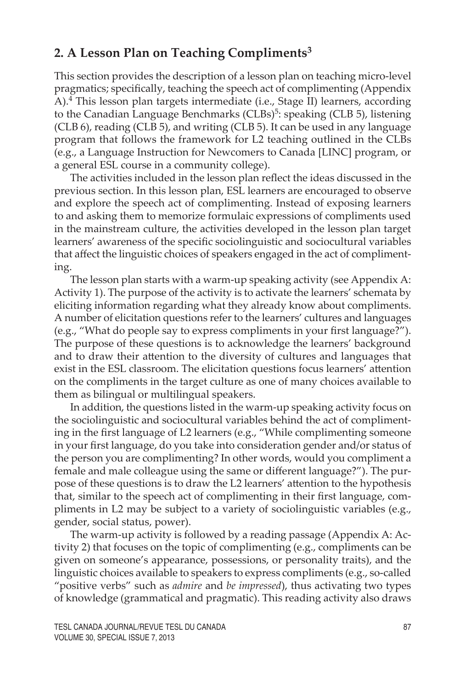### **2. A Lesson Plan on Teaching Compliments3**

This section provides the description of a lesson plan on teaching micro-level pragmatics; specifically, teaching the speech act of complimenting (Appendix A).4 This lesson plan targets intermediate (i.e., Stage II) learners, according to the Canadian Language Benchmarks (CLBs)<sup>5</sup>: speaking (CLB 5), listening (CLB 6), reading (CLB 5), and writing (CLB 5). It can be used in any language program that follows the framework for L2 teaching outlined in the CLBs (e.g., a Language Instruction for Newcomers to Canada [LINC] program, or a general ESL course in a community college).

The activities included in the lesson plan reflect the ideas discussed in the previous section. In this lesson plan, ESL learners are encouraged to observe and explore the speech act of complimenting. Instead of exposing learners to and asking them to memorize formulaic expressions of compliments used in the mainstream culture, the activities developed in the lesson plan target learners' awareness of the specific sociolinguistic and sociocultural variables that affect the linguistic choices of speakers engaged in the act of complimenting.

The lesson plan starts with a warm-up speaking activity (see Appendix A: Activity 1). The purpose of the activity is to activate the learners' schemata by eliciting information regarding what they already know about compliments. A number of elicitation questions refer to the learners' cultures and languages (e.g., "What do people say to express compliments in your first language?"). The purpose of these questions is to acknowledge the learners' background and to draw their attention to the diversity of cultures and languages that exist in the ESL classroom. The elicitation questions focus learners' attention on the compliments in the target culture as one of many choices available to them as bilingual or multilingual speakers.

In addition, the questions listed in the warm-up speaking activity focus on the sociolinguistic and sociocultural variables behind the act of complimenting in the first language of L2 learners (e.g., "While complimenting someone in your first language, do you take into consideration gender and/or status of the person you are complimenting? In other words, would you compliment a female and male colleague using the same or different language?"). The purpose of these questions is to draw the L2 learners' attention to the hypothesis that, similar to the speech act of complimenting in their first language, compliments in L2 may be subject to a variety of sociolinguistic variables (e.g., gender, social status, power).

The warm-up activity is followed by a reading passage (Appendix A: Activity 2) that focuses on the topic of complimenting (e.g., compliments can be given on someone's appearance, possessions, or personality traits), and the linguistic choices available to speakers to express compliments (e.g., so-called "positive verbs" such as *admire* and *be impressed*), thus activating two types of knowledge (grammatical and pragmatic). This reading activity also draws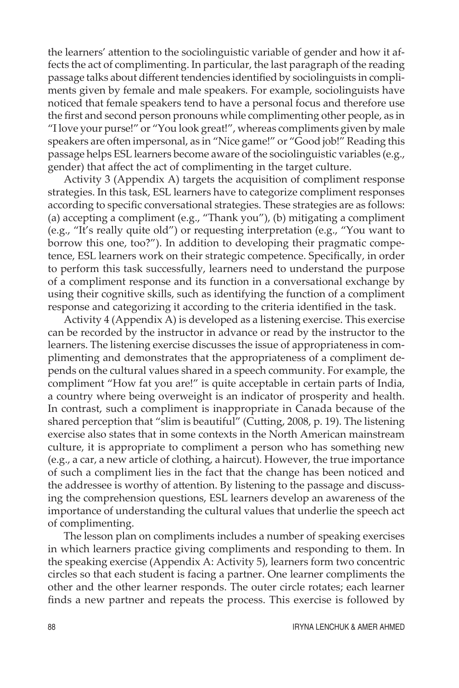the learners' attention to the sociolinguistic variable of gender and how it affects the act of complimenting. In particular, the last paragraph of the reading passage talks about different tendencies identified by sociolinguists in compliments given by female and male speakers. For example, sociolinguists have noticed that female speakers tend to have a personal focus and therefore use the first and second person pronouns while complimenting other people, as in "I love your purse!" or "You look great!", whereas compliments given by male speakers are often impersonal, as in "Nice game!" or "Good job!" Reading this passage helps ESL learners become aware of the sociolinguistic variables (e.g., gender) that affect the act of complimenting in the target culture.

Activity 3 (Appendix A) targets the acquisition of compliment response strategies. In this task, ESL learners have to categorize compliment responses according to specific conversational strategies. These strategies are as follows: (a) accepting a compliment (e.g., "Thank you"), (b) mitigating a compliment (e.g., "It's really quite old") or requesting interpretation (e.g., "You want to borrow this one, too?"). In addition to developing their pragmatic competence, ESL learners work on their strategic competence. Specifically, in order to perform this task successfully, learners need to understand the purpose of a compliment response and its function in a conversational exchange by using their cognitive skills, such as identifying the function of a compliment response and categorizing it according to the criteria identified in the task.

Activity 4 (Appendix A) is developed as a listening exercise. This exercise can be recorded by the instructor in advance or read by the instructor to the learners. The listening exercise discusses the issue of appropriateness in complimenting and demonstrates that the appropriateness of a compliment depends on the cultural values shared in a speech community. For example, the compliment "How fat you are!" is quite acceptable in certain parts of India, a country where being overweight is an indicator of prosperity and health. In contrast, such a compliment is inappropriate in Canada because of the shared perception that "slim is beautiful" (Cutting, 2008, p. 19). The listening exercise also states that in some contexts in the North American mainstream culture, it is appropriate to compliment a person who has something new (e.g., a car, a new article of clothing, a haircut). However, the true importance of such a compliment lies in the fact that the change has been noticed and the addressee is worthy of attention. By listening to the passage and discussing the comprehension questions, ESL learners develop an awareness of the importance of understanding the cultural values that underlie the speech act of complimenting.

The lesson plan on compliments includes a number of speaking exercises in which learners practice giving compliments and responding to them. In the speaking exercise (Appendix A: Activity 5), learners form two concentric circles so that each student is facing a partner. One learner compliments the other and the other learner responds. The outer circle rotates; each learner finds a new partner and repeats the process. This exercise is followed by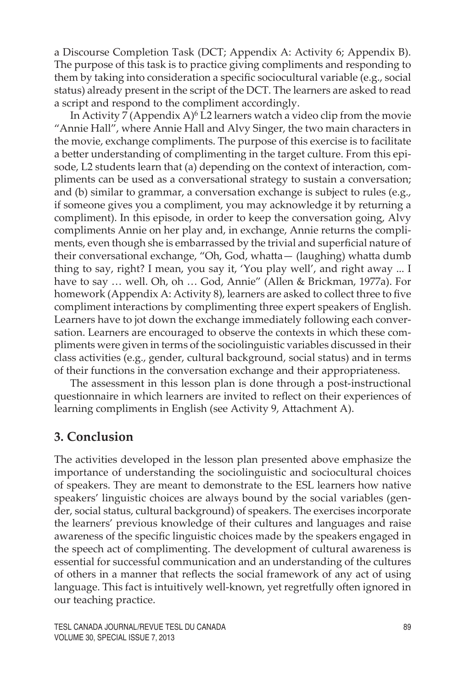a Discourse Completion Task (DCT; Appendix A: Activity 6; Appendix B). The purpose of this task is to practice giving compliments and responding to them by taking into consideration a specific sociocultural variable (e.g., social status) already present in the script of the DCT. The learners are asked to read a script and respond to the compliment accordingly.

In Activity  $\overline{7}$  (Appendix A)<sup>6</sup> L<sub>2</sub> learners watch a video clip from the movie "Annie Hall", where Annie Hall and Alvy Singer, the two main characters in the movie, exchange compliments. The purpose of this exercise is to facilitate a better understanding of complimenting in the target culture. From this episode, L2 students learn that (a) depending on the context of interaction, compliments can be used as a conversational strategy to sustain a conversation; and (b) similar to grammar, a conversation exchange is subject to rules (e.g., if someone gives you a compliment, you may acknowledge it by returning a compliment). In this episode, in order to keep the conversation going, Alvy compliments Annie on her play and, in exchange, Annie returns the compliments, even though she is embarrassed by the trivial and superficial nature of their conversational exchange, "Oh, God, whatta— (laughing) whatta dumb thing to say, right? I mean, you say it, 'You play well', and right away ... I have to say … well. Oh, oh … God, Annie" (Allen & Brickman, 1977a). For homework (Appendix A: Activity 8), learners are asked to collect three to five compliment interactions by complimenting three expert speakers of English. Learners have to jot down the exchange immediately following each conversation. Learners are encouraged to observe the contexts in which these compliments were given in terms of the sociolinguistic variables discussed in their class activities (e.g., gender, cultural background, social status) and in terms of their functions in the conversation exchange and their appropriateness.

The assessment in this lesson plan is done through a post-instructional questionnaire in which learners are invited to reflect on their experiences of learning compliments in English (see Activity 9, Attachment A).

# **3. Conclusion**

The activities developed in the lesson plan presented above emphasize the importance of understanding the sociolinguistic and sociocultural choices of speakers. They are meant to demonstrate to the ESL learners how native speakers' linguistic choices are always bound by the social variables (gender, social status, cultural background) of speakers. The exercises incorporate the learners' previous knowledge of their cultures and languages and raise awareness of the specific linguistic choices made by the speakers engaged in the speech act of complimenting. The development of cultural awareness is essential for successful communication and an understanding of the cultures of others in a manner that reflects the social framework of any act of using language. This fact is intuitively well-known, yet regretfully often ignored in our teaching practice.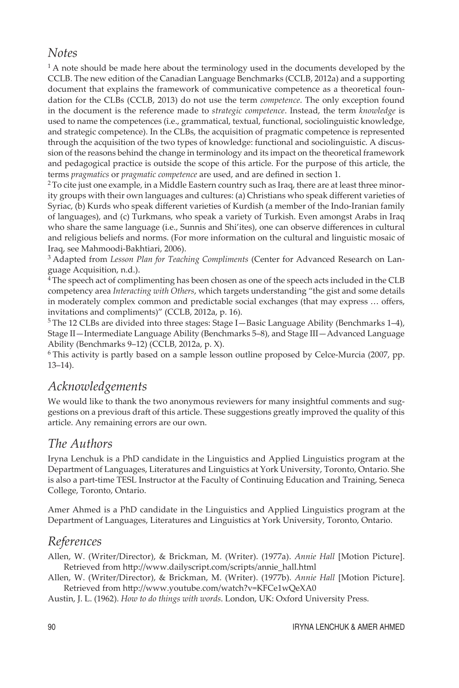#### *Notes*

 $1A$  note should be made here about the terminology used in the documents developed by the CCLB. The new edition of the Canadian Language Benchmarks (CCLB, 2012a) and a supporting document that explains the framework of communicative competence as a theoretical foundation for the CLBs (CCLB, 2013) do not use the term *competence*. The only exception found in the document is the reference made to *strategic competence*. Instead, the term *knowledge* is used to name the competences (i.e., grammatical, textual, functional, sociolinguistic knowledge, and strategic competence). In the CLBs, the acquisition of pragmatic competence is represented through the acquisition of the two types of knowledge: functional and sociolinguistic. A discussion of the reasons behind the change in terminology and its impact on the theoretical framework and pedagogical practice is outside the scope of this article. For the purpose of this article, the terms *pragmatics* or *pragmatic competence* are used, and are defined in section 1.

 $2$  To cite just one example, in a Middle Eastern country such as Iraq, there are at least three minority groups with their own languages and cultures: (a) Christians who speak different varieties of Syriac, (b) Kurds who speak different varieties of Kurdish (a member of the Indo-Iranian family of languages), and (c) Turkmans, who speak a variety of Turkish. Even amongst Arabs in Iraq who share the same language (i.e., Sunnis and Shi'ites), one can observe differences in cultural and religious beliefs and norms. (For more information on the cultural and linguistic mosaic of Iraq, see Mahmoodi-Bakhtiari, 2006).

3 Adapted from *Lesson Plan for Teaching Compliments* (Center for Advanced Research on Language Acquisition, n.d.).

<sup>4</sup> The speech act of complimenting has been chosen as one of the speech acts included in the CLB competency area *Interacting with Others*, which targets understanding "the gist and some details in moderately complex common and predictable social exchanges (that may express … offers, invitations and compliments)" (CCLB, 2012a, p. 16).

 $5$ The 12 CLBs are divided into three stages: Stage I—Basic Language Ability (Benchmarks 1–4), Stage II—Intermediate Language Ability (Benchmarks 5–8), and Stage III—Advanced Language Ability (Benchmarks 9–12) (CCLB, 2012a, p. X).

6 This activity is partly based on a sample lesson outline proposed by Celce-Murcia (2007, pp. 13–14).

#### *Acknowledgements*

We would like to thank the two anonymous reviewers for many insightful comments and suggestions on a previous draft of this article. These suggestions greatly improved the quality of this article. Any remaining errors are our own.

#### *The Authors*

Iryna Lenchuk is a PhD candidate in the Linguistics and Applied Linguistics program at the Department of Languages, Literatures and Linguistics at York University, Toronto, Ontario. She is also a part-time TESL Instructor at the Faculty of Continuing Education and Training, Seneca College, Toronto, Ontario.

Amer Ahmed is a PhD candidate in the Linguistics and Applied Linguistics program at the Department of Languages, Literatures and Linguistics at York University, Toronto, Ontario.

#### *References*

Allen, W. (Writer/Director), & Brickman, M. (Writer). (1977a). *Annie Hall* [Motion Picture]. Retrieved from http://www.dailyscript.com/scripts/annie\_hall.html

Allen, W. (Writer/Director), & Brickman, M. (Writer). (1977b). *Annie Hall* [Motion Picture]. Retrieved from http://www.youtube.com/watch?v=KFCe1wQeXA0

Austin, J. L. (1962). *How to do things with words*. London, UK: Oxford University Press.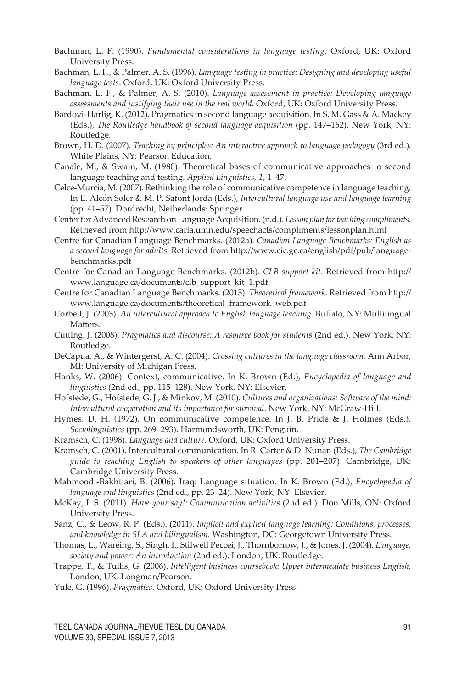- Bachman, L. F. (1990). *Fundamental considerations in language testing*. Oxford, UK: Oxford University Press.
- Bachman, L. F., & Palmer, A. S. (1996). *Language testing in practice: Designing and developing useful language tests*. Oxford, UK: Oxford University Press.
- Bachman, L. F., & Palmer, A. S. (2010). *Language assessment in practice: Developing language assessments and justifying their use in the real world.* Oxford, UK: Oxford University Press.
- Bardovi-Harlig, K. (2012). Pragmatics in second language acquisition*.* In S. M. Gass & A. Mackey (Eds.), *The Routledge handbook of second language acquisition* (pp. 147–162). New York, NY: Routledge.
- Brown, H. D. (2007). *Teaching by principles: An interactive approach to language pedagogy* (3rd ed.)*.*  White Plains, NY: Pearson Education.
- Canale, M., & Swain, M. (1980). Theoretical bases of communicative approaches to second language teaching and testing. *Applied Linguistics, 1*, 1–47.
- Celce-Murcia, M. (2007). Rethinking the role of communicative competence in language teaching. In E. Alcón Soler & M. P. Safont Jorda (Eds.), *Intercultural language use and language learning* (pp. 41–57). Dordrecht, Netherlands: Springer.
- Center for Advanced Research on Language Acquisition. (n.d.). *Lesson plan for teaching compliments.* Retrieved from http://www.carla.umn.edu/speechacts/compliments/lessonplan.html
- Centre for Canadian Language Benchmarks. (2012a). *Canadian Language Benchmarks: English as a second language for adults.* Retrieved from http://www.cic.gc.ca/english/pdf/pub/languagebenchmarks.pdf
- Centre for Canadian Language Benchmarks. (2012b). *CLB support kit.* Retrieved from http:// www.language.ca/documents/clb\_support\_kit\_1.pdf
- Centre for Canadian Language Benchmarks. (2013). *Theoretical framework.* Retrieved from http:// www.language.ca/documents/theoretical\_framework\_web.pdf
- Corbett, J. (2003). *An intercultural approach to English language teaching.* Buffalo, NY: Multilingual Matters.
- Cutting, J. (2008). *Pragmatics and discourse: A resource book for students* (2nd ed.)*.* New York, NY: Routledge.
- DeCapua, A., & Wintergerst, A. C. (2004). *Crossing cultures in the language classroom.* Ann Arbor, MI: University of Michigan Press.
- Hanks, W. (2006). Context, communicative. In K. Brown (Ed.), *Encyclopedia of language and linguistics* (2nd ed., pp. 115–128). New York, NY: Elsevier.
- Hofstede, G., Hofstede, G. J., & Minkov, M. (2010). *Cultures and organizations: Software of the mind: Intercultural cooperation and its importance for survival*. New York, NY: McGraw-Hill.
- Hymes, D. H. (1972). On communicative competence. In J. B. Pride & J. Holmes (Eds.), *Sociolinguistics* (pp. 269–293). Harmondsworth, UK: Penguin.
- Kramsch, C. (1998). *Language and culture.* Oxford, UK: Oxford University Press.
- Kramsch, C. (2001). Intercultural communication. In R. Carter & D. Nunan (Eds.), *The Cambridge guide to teaching English to speakers of other languages* (pp. 201–207). Cambridge, UK: Cambridge University Press.
- Mahmoodi-Bakhtiari, B. (2006). Iraq: Language situation. In K. Brown (Ed.), *Encyclopedia of language and linguistics* (2nd ed., pp. 23–24). New York, NY: Elsevier.
- McKay, I. S. (2011). *Have your say!: Communication activities* (2nd ed.). Don Mills, ON: Oxford University Press.
- Sanz, C., & Leow, R. P. (Eds.). (2011). *Implicit and explicit language learning: Conditions, processes, and knowledge in SLA and bilingualism.* Washington, DC: Georgetown University Press.
- Thomas, L., Wareing, S., Singh, I., Stilwell Peccei, J., Thornborrow, J., & Jones, J. (2004). *Language, society and power: An introduction* (2nd ed.). London, UK: Routledge.
- Trappe, T., & Tullis, G. (2006). *Intelligent business coursebook: Upper intermediate business English.* London, UK: Longman/Pearson.
- Yule, G. (1996). *Pragmatics.* Oxford, UK: Oxford University Press.

TESL CANADA JOURNAL/REVUE TESL DU CANADA 91 Volume 30, special issue 7, 2013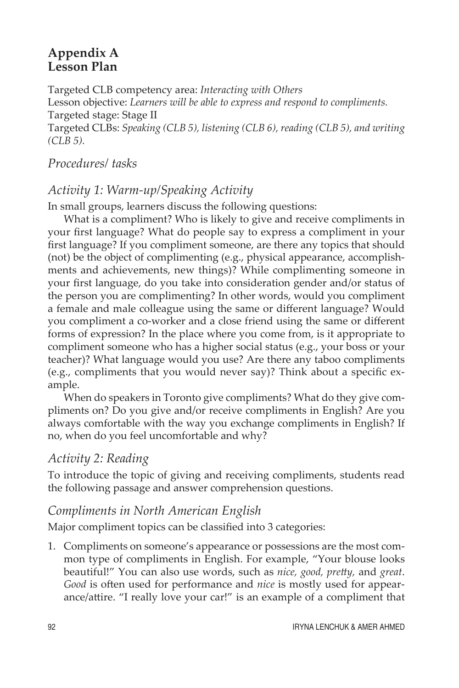#### **Appendix A Lesson Plan**

Targeted CLB competency area: *Interacting with Others* Lesson objective: *Learners will be able to express and respond to compliments.* Targeted stage: Stage II Targeted CLBs: *Speaking (CLB 5), listening (CLB 6), reading (CLB 5), and writing (CLB 5).*

#### *Procedures/ tasks*

# *Activity 1: Warm-up/Speaking Activity*

In small groups, learners discuss the following questions:

What is a compliment? Who is likely to give and receive compliments in your first language? What do people say to express a compliment in your first language? If you compliment someone, are there any topics that should (not) be the object of complimenting (e.g., physical appearance, accomplishments and achievements, new things)? While complimenting someone in your first language, do you take into consideration gender and/or status of the person you are complimenting? In other words, would you compliment a female and male colleague using the same or different language? Would you compliment a co-worker and a close friend using the same or different forms of expression? In the place where you come from, is it appropriate to compliment someone who has a higher social status (e.g., your boss or your teacher)? What language would you use? Are there any taboo compliments (e.g., compliments that you would never say)? Think about a specific example.

When do speakers in Toronto give compliments? What do they give compliments on? Do you give and/or receive compliments in English? Are you always comfortable with the way you exchange compliments in English? If no, when do you feel uncomfortable and why?

#### *Activity 2: Reading*

To introduce the topic of giving and receiving compliments, students read the following passage and answer comprehension questions.

#### *Compliments in North American English*

Major compliment topics can be classified into 3 categories:

1. Compliments on someone's appearance or possessions are the most common type of compliments in English. For example, "Your blouse looks beautiful!" You can also use words, such as *nice, good, pretty,* and *great*. *Good* is often used for performance and *nice* is mostly used for appearance/attire. "I really love your car!" is an example of a compliment that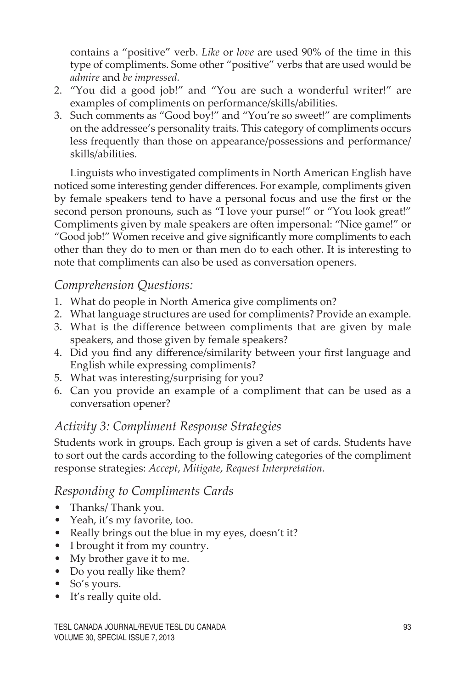contains a "positive" verb. *Like* or *love* are used 90% of the time in this type of compliments. Some other "positive" verbs that are used would be *admire* and *be impressed.* 

- 2. "You did a good job!" and "You are such a wonderful writer!" are examples of compliments on performance/skills/abilities.
- 3. Such comments as "Good boy!" and "You're so sweet!" are compliments on the addressee's personality traits. This category of compliments occurs less frequently than those on appearance/possessions and performance/ skills/abilities.

Linguists who investigated compliments in North American English have noticed some interesting gender differences. For example, compliments given by female speakers tend to have a personal focus and use the first or the second person pronouns, such as "I love your purse!" or "You look great!" Compliments given by male speakers are often impersonal: "Nice game!" or "Good job!" Women receive and give significantly more compliments to each other than they do to men or than men do to each other. It is interesting to note that compliments can also be used as conversation openers.

#### *Comprehension Questions:*

- 1. What do people in North America give compliments on?
- 2. What language structures are used for compliments? Provide an example.
- 3. What is the difference between compliments that are given by male speakers, and those given by female speakers?
- 4. Did you find any difference/similarity between your first language and English while expressing compliments?
- 5. What was interesting/surprising for you?
- 6. Can you provide an example of a compliment that can be used as a conversation opener?

#### *Activity 3: Compliment Response Strategies*

Students work in groups. Each group is given a set of cards. Students have to sort out the cards according to the following categories of the compliment response strategies: *Accept*, *Mitigate*, *Request Interpretation.*

#### *Responding to Compliments Cards*

- Thanks/ Thank you.
- Yeah, it's my favorite, too.
- Really brings out the blue in my eyes, doesn't it?
- I brought it from my country.
- My brother gave it to me.
- Do you really like them?
- So's yours.
- It's really quite old.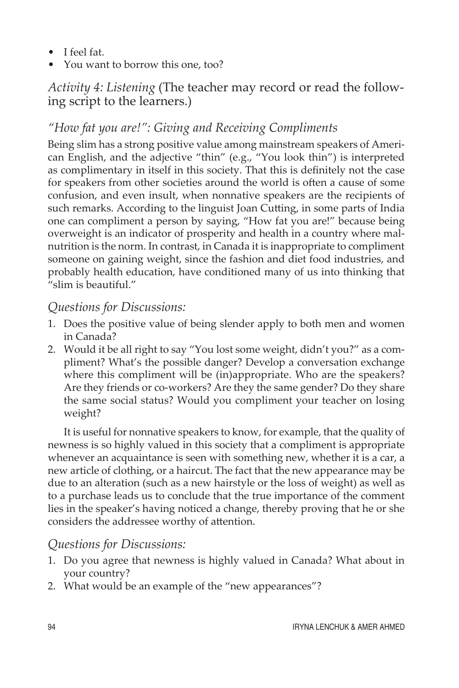- I feel fat.
- You want to borrow this one, too?

# *Activity 4: Listening* (The teacher may record or read the following script to the learners.)

# *"How fat you are!": Giving and Receiving Compliments*

Being slim has a strong positive value among mainstream speakers of American English, and the adjective "thin" (e.g., "You look thin") is interpreted as complimentary in itself in this society. That this is definitely not the case for speakers from other societies around the world is often a cause of some confusion, and even insult, when nonnative speakers are the recipients of such remarks. According to the linguist Joan Cutting, in some parts of India one can compliment a person by saying, "How fat you are!" because being overweight is an indicator of prosperity and health in a country where malnutrition is the norm. In contrast, in Canada it is inappropriate to compliment someone on gaining weight, since the fashion and diet food industries, and probably health education, have conditioned many of us into thinking that "slim is beautiful."

#### *Questions for Discussions:*

- 1. Does the positive value of being slender apply to both men and women in Canada?
- 2. Would it be all right to say "You lost some weight, didn't you?" as a compliment? What's the possible danger? Develop a conversation exchange where this compliment will be (in)appropriate. Who are the speakers? Are they friends or co-workers? Are they the same gender? Do they share the same social status? Would you compliment your teacher on losing weight?

It is useful for nonnative speakers to know, for example, that the quality of newness is so highly valued in this society that a compliment is appropriate whenever an acquaintance is seen with something new, whether it is a car, a new article of clothing, or a haircut. The fact that the new appearance may be due to an alteration (such as a new hairstyle or the loss of weight) as well as to a purchase leads us to conclude that the true importance of the comment lies in the speaker's having noticed a change, thereby proving that he or she considers the addressee worthy of attention.

#### *Questions for Discussions:*

- 1. Do you agree that newness is highly valued in Canada? What about in your country?
- 2. What would be an example of the "new appearances"?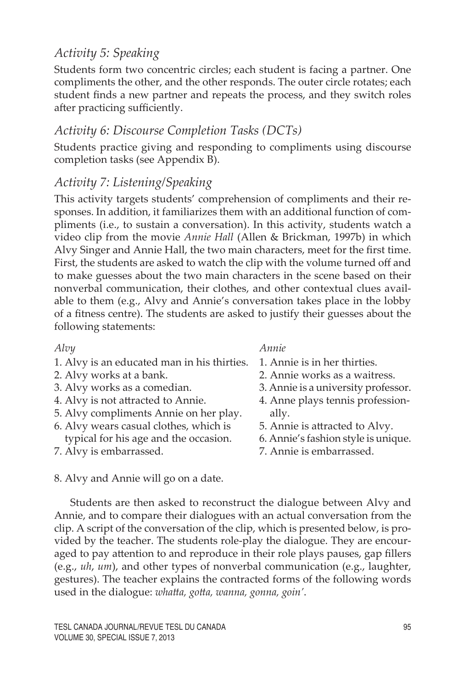# *Activity 5: Speaking*

Students form two concentric circles; each student is facing a partner. One compliments the other, and the other responds. The outer circle rotates; each student finds a new partner and repeats the process, and they switch roles after practicing sufficiently.

#### *Activity 6: Discourse Completion Tasks (DCTs)*

Students practice giving and responding to compliments using discourse completion tasks (see Appendix B).

#### *Activity 7: Listening/Speaking*

This activity targets students' comprehension of compliments and their responses. In addition, it familiarizes them with an additional function of compliments (i.e., to sustain a conversation). In this activity, students watch a video clip from the movie *Annie Hall* (Allen & Brickman, 1997b) in which Alvy Singer and Annie Hall, the two main characters, meet for the first time. First, the students are asked to watch the clip with the volume turned off and to make guesses about the two main characters in the scene based on their nonverbal communication, their clothes, and other contextual clues available to them (e.g., Alvy and Annie's conversation takes place in the lobby of a fitness centre). The students are asked to justify their guesses about the following statements:

- 1. Alvy is an educated man in his thirties.
- 2. Alvy works at a bank.
- 3. Alvy works as a comedian.
- 4. Alvy is not attracted to Annie.
- 5. Alvy compliments Annie on her play.
- 6. Alvy wears casual clothes, which is typical for his age and the occasion.
- 7. Alvy is embarrassed.

*Alvy Annie*

- 1. Annie is in her thirties.
- 2. Annie works as a waitress.
- 3. Annie is a university professor.
- 4. Anne plays tennis profession ally.
- 5. Annie is attracted to Alvy.
- 6. Annie's fashion style is unique.
- 7. Annie is embarrassed.

8. Alvy and Annie will go on a date.

Students are then asked to reconstruct the dialogue between Alvy and Annie, and to compare their dialogues with an actual conversation from the clip. A script of the conversation of the clip, which is presented below, is provided by the teacher. The students role-play the dialogue. They are encouraged to pay attention to and reproduce in their role plays pauses, gap fillers (e.g., *uh*, *um*), and other types of nonverbal communication (e.g., laughter, gestures). The teacher explains the contracted forms of the following words used in the dialogue: *whatta, gotta, wanna, gonna, goin'*.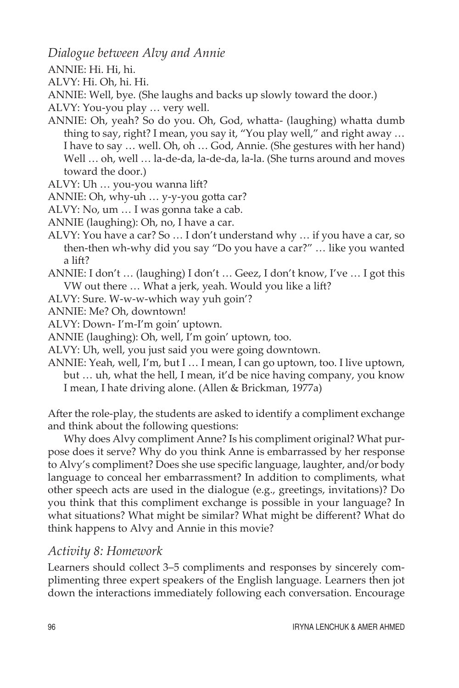*Dialogue between Alvy and Annie* 

ANNIE: Hi. Hi, hi.

ALVY: Hi. Oh, hi. Hi.

ANNIE: Well, bye. (She laughs and backs up slowly toward the door.)

ALVY: You-you play … very well.

- ANNIE: Oh, yeah? So do you. Oh, God, whatta- (laughing) whatta dumb thing to say, right? I mean, you say it, "You play well," and right away … I have to say … well. Oh, oh … God, Annie. (She gestures with her hand) Well … oh, well … la-de-da, la-de-da, la-la. (She turns around and moves toward the door.)
- ALVY: Uh … you-you wanna lift?

ANNIE: Oh, why-uh … y-y-you gotta car?

ALVY: No, um … I was gonna take a cab.

ANNIE (laughing): Oh, no, I have a car.

ALVY: You have a car? So … I don't understand why … if you have a car, so then-then wh-why did you say "Do you have a car?" … like you wanted a lift?

- ANNIE: I don't … (laughing) I don't … Geez, I don't know, I've … I got this VW out there … What a jerk, yeah. Would you like a lift?
- ALVY: Sure. W-w-w-which way yuh goin'?

ANNIE: Me? Oh, downtown!

ALVY: Down- I'm-I'm goin' uptown.

ANNIE (laughing): Oh, well, I'm goin' uptown, too.

ALVY: Uh, well, you just said you were going downtown.

ANNIE: Yeah, well, I'm, but I … I mean, I can go uptown, too. I live uptown, but … uh, what the hell, I mean, it'd be nice having company, you know I mean, I hate driving alone. (Allen & Brickman, 1977a)

After the role-play, the students are asked to identify a compliment exchange and think about the following questions:

Why does Alvy compliment Anne? Is his compliment original? What purpose does it serve? Why do you think Anne is embarrassed by her response to Alvy's compliment? Does she use specific language, laughter, and/or body language to conceal her embarrassment? In addition to compliments, what other speech acts are used in the dialogue (e.g., greetings, invitations)? Do you think that this compliment exchange is possible in your language? In what situations? What might be similar? What might be different? What do think happens to Alvy and Annie in this movie?

#### *Activity 8: Homework*

Learners should collect 3–5 compliments and responses by sincerely complimenting three expert speakers of the English language. Learners then jot down the interactions immediately following each conversation. Encourage